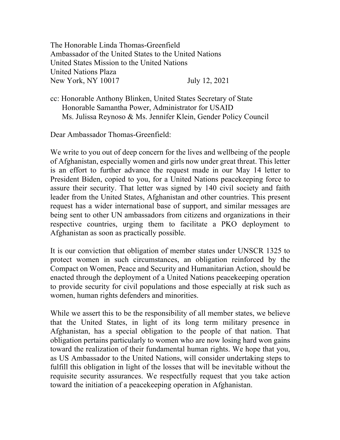The Honorable Linda Thomas-Greenfield Ambassador of the United States to the United Nations United States Mission to the United Nations United Nations Plaza New York, NY 10017 July 12, 2021

cc: Honorable Anthony Blinken, United States Secretary of State Honorable Samantha Power, Administrator for USAID Ms. Julissa Reynoso & Ms. Jennifer Klein, Gender Policy Council

Dear Ambassador Thomas-Greenfield:

We write to you out of deep concern for the lives and wellbeing of the people of Afghanistan, especially women and girls now under great threat. This letter is an effort to further advance the request made in our May 14 letter to President Biden, copied to you, for a United Nations peacekeeping force to assure their security. That letter was signed by 140 civil society and faith leader from the United States, Afghanistan and other countries. This present request has a wider international base of support, and similar messages are being sent to other UN ambassadors from citizens and organizations in their respective countries, urging them to facilitate a PKO deployment to Afghanistan as soon as practically possible.

It is our conviction that obligation of member states under UNSCR 1325 to protect women in such circumstances, an obligation reinforced by the Compact on Women, Peace and Security and Humanitarian Action, should be enacted through the deployment of a United Nations peacekeeping operation to provide security for civil populations and those especially at risk such as women, human rights defenders and minorities.

While we assert this to be the responsibility of all member states, we believe that the United States, in light of its long term military presence in Afghanistan, has a special obligation to the people of that nation. That obligation pertains particularly to women who are now losing hard won gains toward the realization of their fundamental human rights. We hope that you, as US Ambassador to the United Nations, will consider undertaking steps to fulfill this obligation in light of the losses that will be inevitable without the requisite security assurances. We respectfully request that you take action toward the initiation of a peacekeeping operation in Afghanistan.